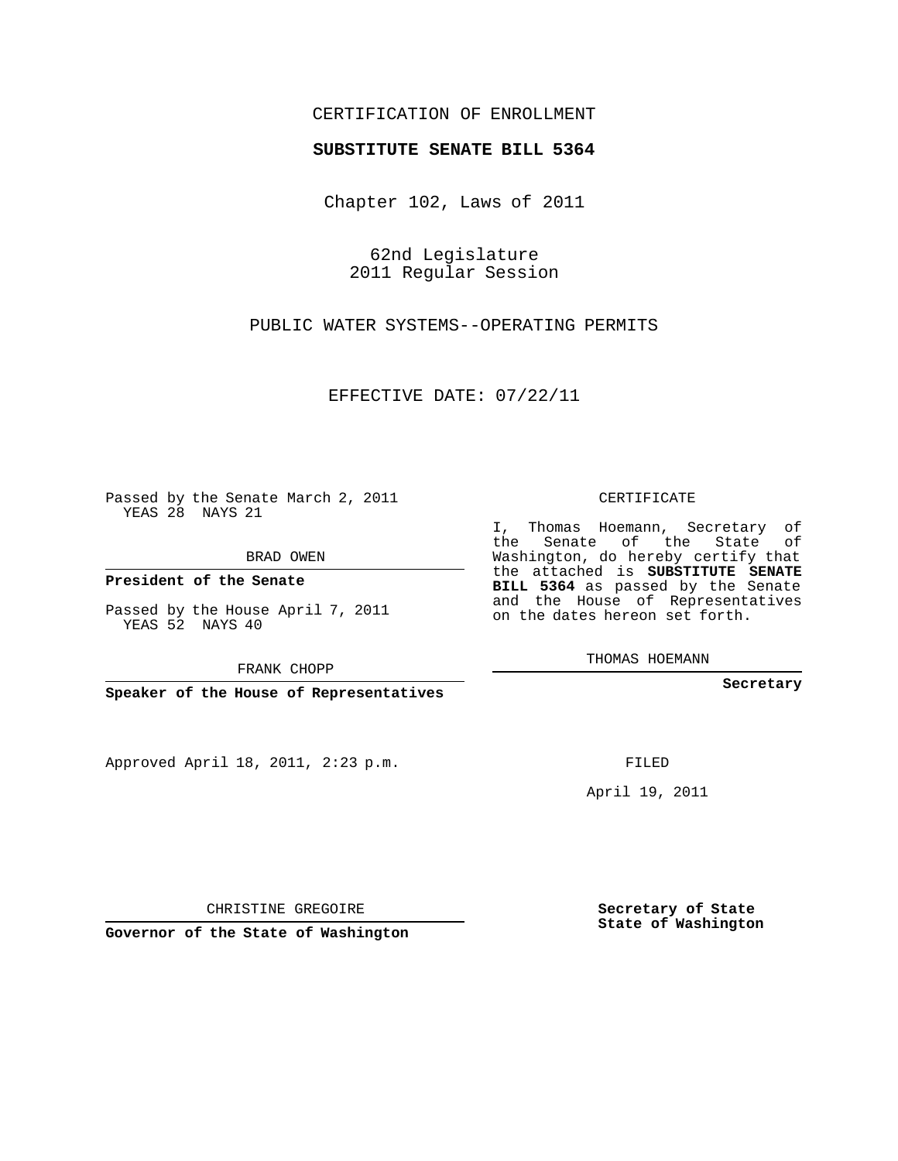## CERTIFICATION OF ENROLLMENT

## **SUBSTITUTE SENATE BILL 5364**

Chapter 102, Laws of 2011

62nd Legislature 2011 Regular Session

PUBLIC WATER SYSTEMS--OPERATING PERMITS

EFFECTIVE DATE: 07/22/11

**Contract Contract** 

Passed by the Senate March 2, 2011 YEAS 28 NAYS 21

BRAD OWEN

**President of the Senate**

Passed by the House April 7, 2011 YEAS 52 NAYS 40

FRANK CHOPP

**Speaker of the House of Representatives**

Approved April 18, 2011, 2:23 p.m.

CERTIFICATE

I, Thomas Hoemann, Secretary of the Senate of the State of Washington, do hereby certify that the attached is **SUBSTITUTE SENATE BILL 5364** as passed by the Senate and the House of Representatives on the dates hereon set forth.

THOMAS HOEMANN

**Secretary**

FILED

April 19, 2011

CHRISTINE GREGOIRE

**Governor of the State of Washington**

**Secretary of State State of Washington**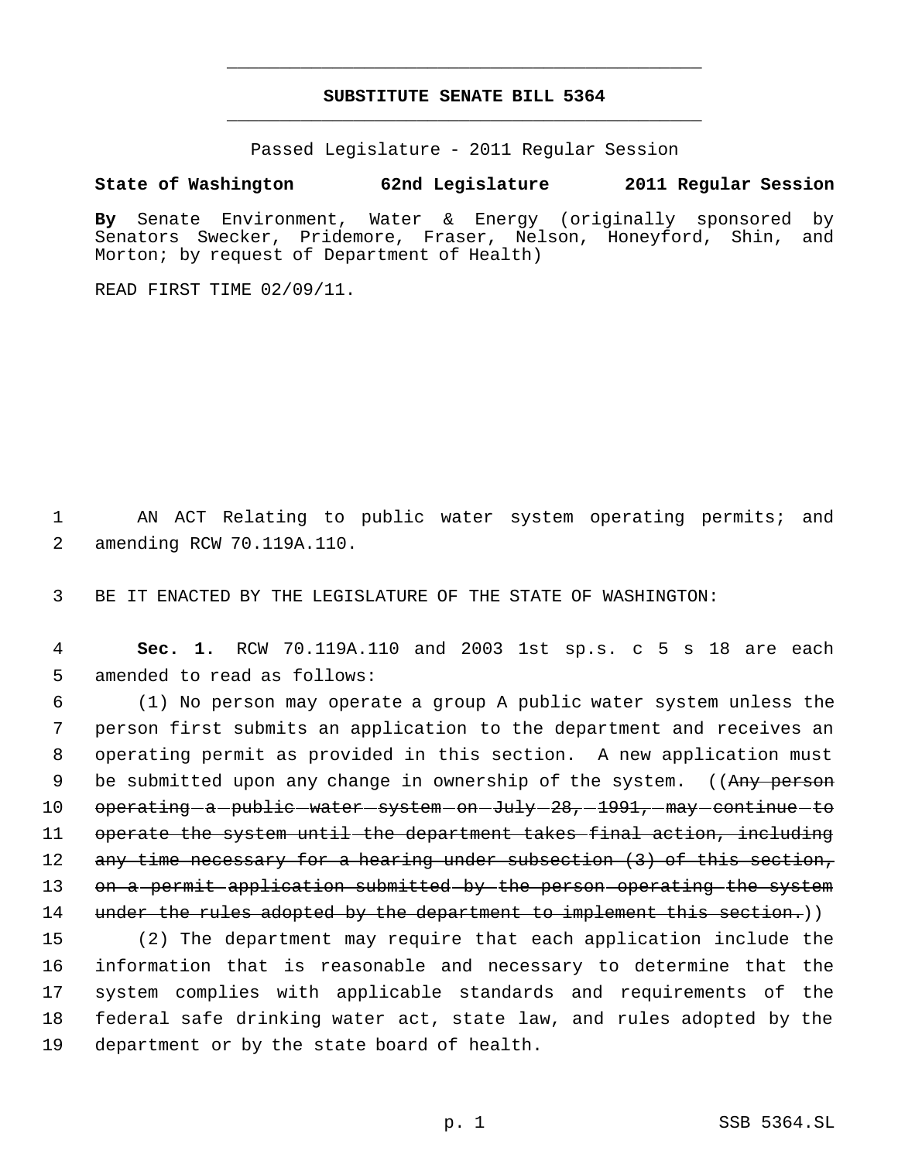## **SUBSTITUTE SENATE BILL 5364** \_\_\_\_\_\_\_\_\_\_\_\_\_\_\_\_\_\_\_\_\_\_\_\_\_\_\_\_\_\_\_\_\_\_\_\_\_\_\_\_\_\_\_\_\_

\_\_\_\_\_\_\_\_\_\_\_\_\_\_\_\_\_\_\_\_\_\_\_\_\_\_\_\_\_\_\_\_\_\_\_\_\_\_\_\_\_\_\_\_\_

Passed Legislature - 2011 Regular Session

**State of Washington 62nd Legislature 2011 Regular Session**

**By** Senate Environment, Water & Energy (originally sponsored by Senators Swecker, Pridemore, Fraser, Nelson, Honeyford, Shin, and Morton; by request of Department of Health)

READ FIRST TIME 02/09/11.

 1 AN ACT Relating to public water system operating permits; and 2 amending RCW 70.119A.110.

3 BE IT ENACTED BY THE LEGISLATURE OF THE STATE OF WASHINGTON:

 4 **Sec. 1.** RCW 70.119A.110 and 2003 1st sp.s. c 5 s 18 are each 5 amended to read as follows:

 6 (1) No person may operate a group A public water system unless the 7 person first submits an application to the department and receives an 8 operating permit as provided in this section. A new application must 9 be submitted upon any change in ownership of the system. ((Any person 10 operating a public water system on July 28, 1991, may continue to 11 operate the system until the department takes final action, including 12 any time necessary for a hearing under subsection (3) of this section, 13 on a permit application submitted by the person operating the system 14 under the rules adopted by the department to implement this section.))

 (2) The department may require that each application include the information that is reasonable and necessary to determine that the system complies with applicable standards and requirements of the federal safe drinking water act, state law, and rules adopted by the department or by the state board of health.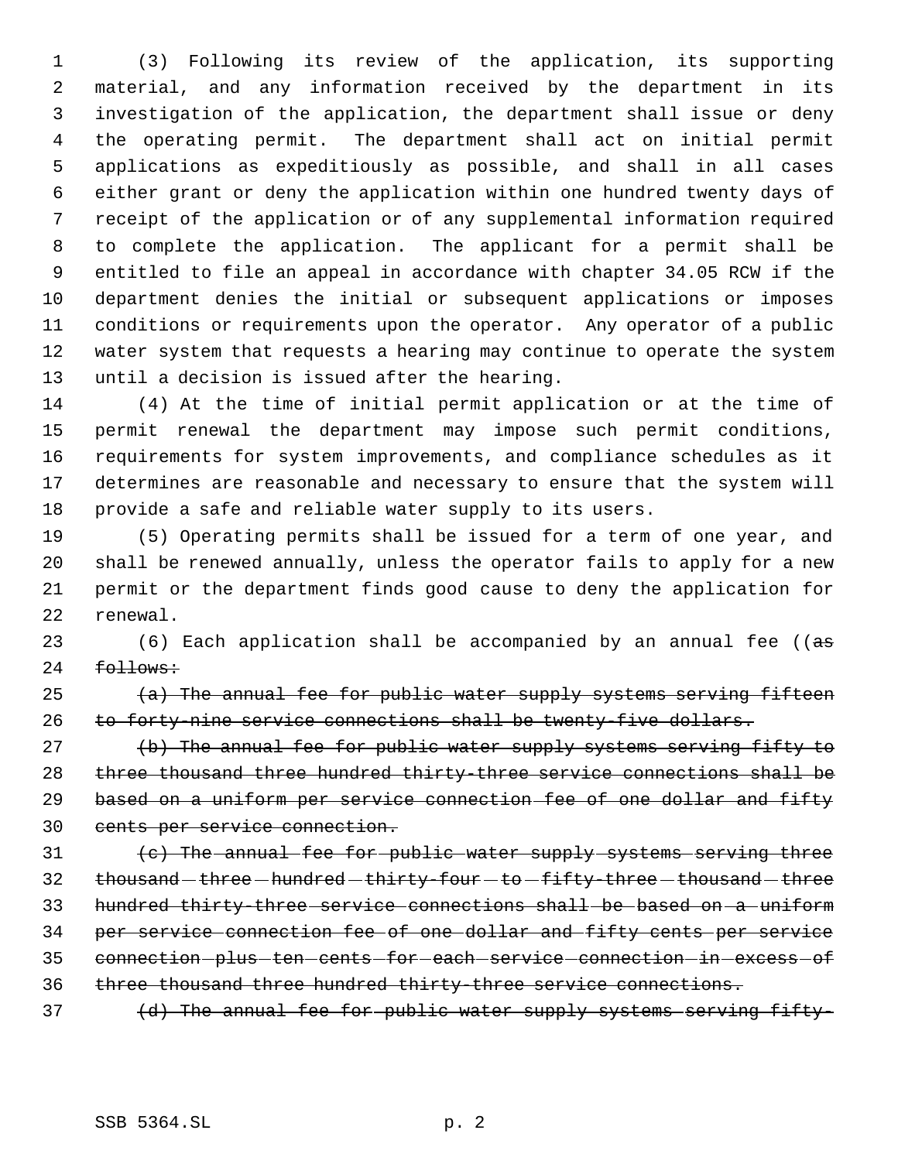(3) Following its review of the application, its supporting material, and any information received by the department in its investigation of the application, the department shall issue or deny the operating permit. The department shall act on initial permit applications as expeditiously as possible, and shall in all cases either grant or deny the application within one hundred twenty days of receipt of the application or of any supplemental information required to complete the application. The applicant for a permit shall be entitled to file an appeal in accordance with chapter 34.05 RCW if the department denies the initial or subsequent applications or imposes conditions or requirements upon the operator. Any operator of a public water system that requests a hearing may continue to operate the system until a decision is issued after the hearing.

 (4) At the time of initial permit application or at the time of permit renewal the department may impose such permit conditions, requirements for system improvements, and compliance schedules as it determines are reasonable and necessary to ensure that the system will provide a safe and reliable water supply to its users.

 (5) Operating permits shall be issued for a term of one year, and shall be renewed annually, unless the operator fails to apply for a new permit or the department finds good cause to deny the application for renewal.

23 (6) Each application shall be accompanied by an annual fee ((as 24 follows:

25  $(a)$  The annual fee for public water supply systems serving fifteen to forty-nine service connections shall be twenty-five dollars.

27 (b) The annual fee for public water supply systems serving fifty to three thousand three hundred thirty-three service connections shall be 29 based on a uniform per service connection fee of one dollar and fifty cents per service connection.

 (c) The annual fee for public water supply systems serving three 32 thousand - three - hundred - thirty-four - to - fifty-three - thousand - three hundred thirty-three service connections shall be based on a uniform per service connection fee of one dollar and fifty cents per service 35 connection-plus-ten-cents-for-each-service-connection-in-excess-of three thousand three hundred thirty-three service connections.

37 (d) The annual fee for public water supply systems serving fifty-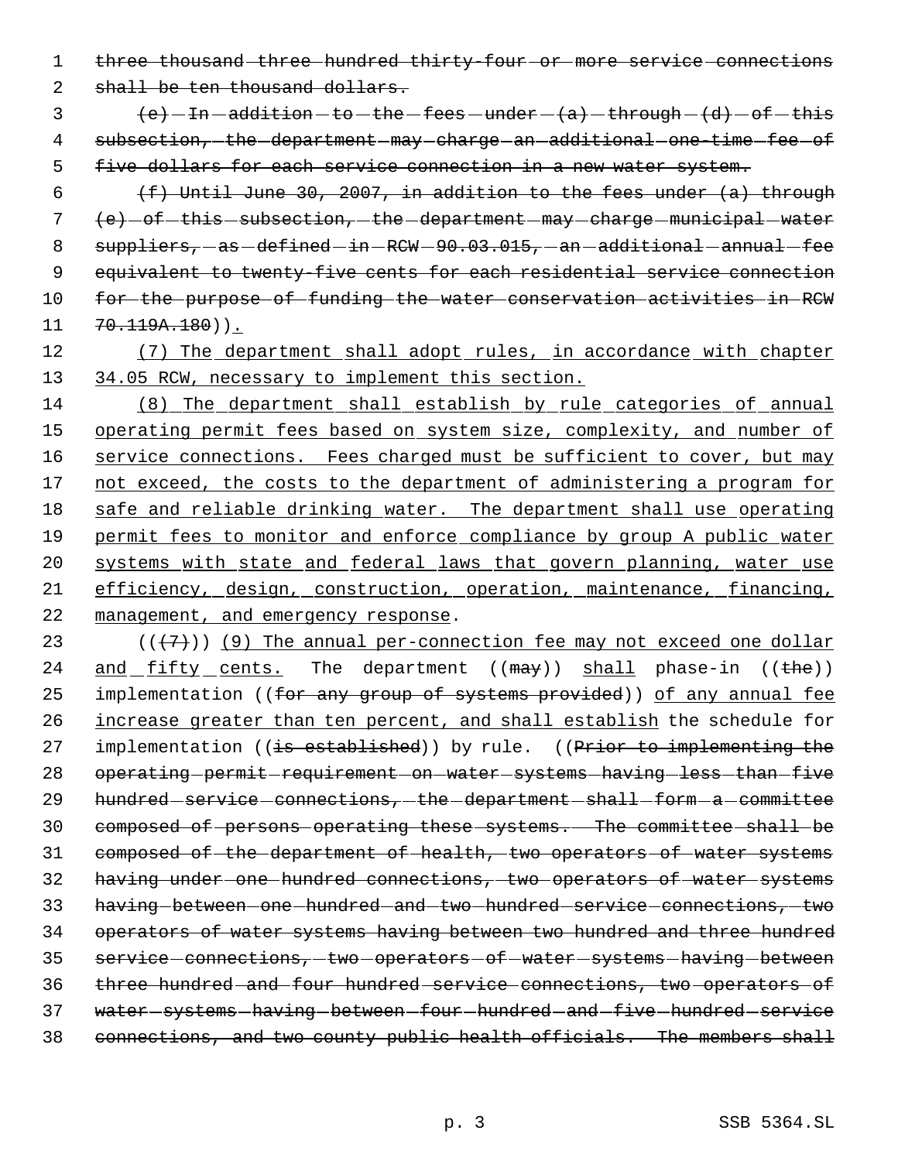1 three thousand three hundred thirty four or more service connections

2 shall be ten thousand dollars.

 $\{e\}$  - In -addition - to - the -fees - under -  $\{a\}$  - through -  $\{d\}$  - of - this 4 subsection, the department may charge an additional one time fee of 5 five dollars for each service connection in a new water system.

 $(f)$  Until June 30, 2007, in addition to the fees under  $(a)$  through  $(e)$   $-$  of  $-$  this  $-$  subsection,  $-$  the  $-$  department  $-$  may  $-$  charge  $-$  municipal  $-$  water 8 suppliers, as defined in RCW 90.03.015, an additional annual fee equivalent to twenty-five cents for each residential service connection for the purpose of funding the water conservation activities in RCW  $11 \quad 70.119A.180)$ .

12 (7) The department shall adopt rules, in accordance with chapter 13 34.05 RCW, necessary to implement this section.

14 (8) The department shall establish by rule categories of annual 15 operating permit fees based on system size, complexity, and number of 16 service connections. Fees charged must be sufficient to cover, but may 17 not exceed, the costs to the department of administering a program for 18 safe and reliable drinking water. The department shall use operating 19 permit fees to monitor and enforce compliance by group A public water 20 systems with state and federal laws that govern planning, water use 21 efficiency, design, construction, operation, maintenance, financing, 22 management, and emergency response.

23  $((+7))$  (9) The annual per-connection fee may not exceed one dollar 24 and fifty cents. The department ((may)) shall phase-in ((the)) 25 implementation ((for any group of systems provided)) of any annual fee 26 increase greater than ten percent, and shall establish the schedule for 27 implementation ((is established)) by rule. ((Prior to implementing the 28 operating permit requirement on water systems having less than five 29 hundred - service - connections, - the -department - shall - form - a - committee 30 composed of persons operating these systems. The committee shall be 31 composed of the department of health, two operators of water systems 32 having under one hundred connections, two operators of water systems 33 having between one hundred and two hundred service connections, two 34 operators of water systems having between two hundred and three hundred 35 service-connections, -two -operators -of -water -systems -having -between 36 three hundred and four hundred service connections, two operators of 37 water-systems-having-between-four-hundred-and-five-hundred-service 38 connections, and two county public health officials. The members shall